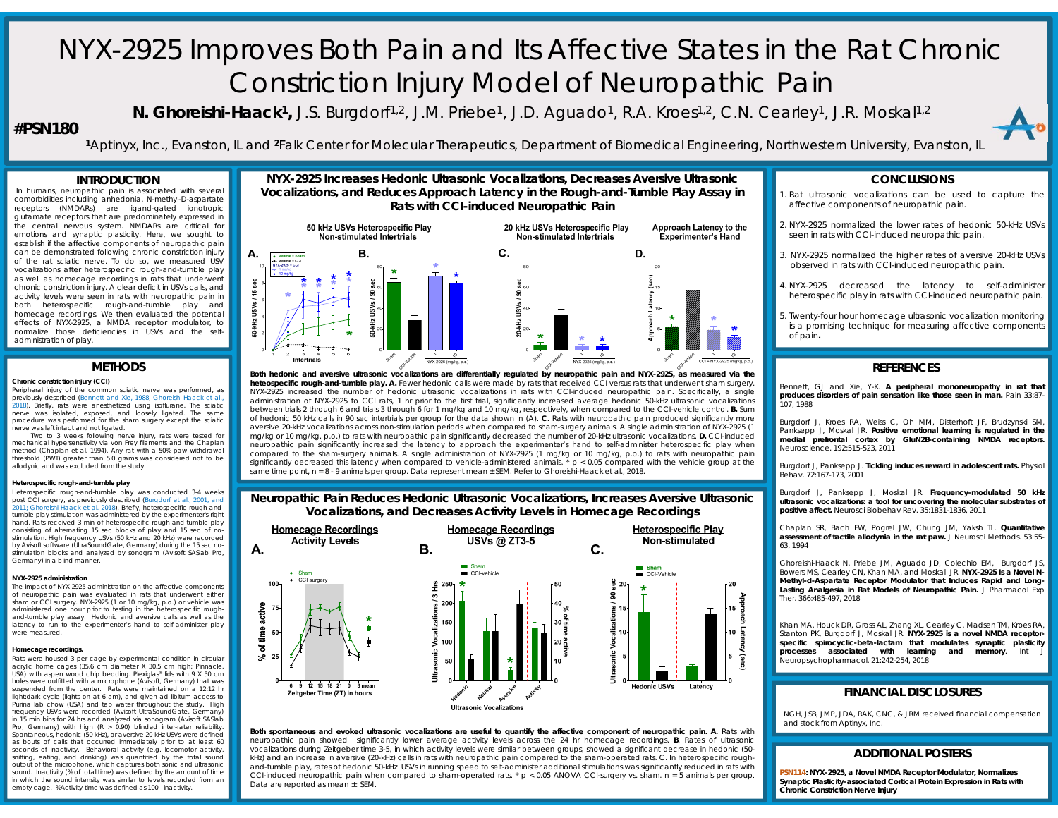# NYX-2925 Improves Both Pain and Its Affective States in the Rat Chronic Constriction Injury Model of Neuropathic Pain

**N. Ghoreishi-Haack<sup>1</sup>,** J.S. Burgdorf<sup>1,2</sup>, J.M. Priebe<sup>1</sup>, J.D. Aguado<sup>1</sup>, R.A. Kroes<sup>1,2</sup>, C.N. Cearley<sup>1</sup>, J.R. Moskal<sup>1,2</sup>

# **#PSN180**

**<sup>1</sup>**Aptinyx, Inc., Evanston, IL and **<sup>2</sup>**Falk Center for Molecular Therapeutics, Department of Biomedical Engineering, Northwestern University, Evanston, IL

# **INTRODUCTION**

 In humans, neuropathic pain is associated with several comorbidities including anhedonia. N-methyl-D-aspartate receptors (NMDARs) are ligand-gated ionotropic glutamate receptors that are predominately expressed in the central nervous system. NMDARs are critical for emotions and synaptic plasticity. Here, we sought to establish if the affective components of neuropathic pain can be demonstrated following chronic constriction injury of the rat sciatic nerve. To do so, we measured USV vocalizations after heterospecific rough-and-tumble play as well as homecage recordings in rats that underwent chronic constriction injury. A clear deficit in USVs calls, and activity levels were seen in rats with neuropathic pain in both heterospecific rough-and-tumble play and homecage recordings. We then evaluated the potential effects of NYX-2925, <sup>a</sup> NMDA receptor modulator, to normalize those deficiencies in USVs and the selfadministration of play.

# **METHODS**

#### **Chronic constriction injury (CCI)**

Peripheral injury of the common sciatic nerve was performed, as previously described (Bennett and Xie, 1988; Ghoreishi-Haack et al., 2018). Briefly, rats were anesthetized using isoflurane. The sciatic nerve was isolated, exposed, and loosely ligated. The same procedure was performed for the sham surgery except the sciatic nerve was left intact and not ligated.

Two to 3 weeks following nerve injury, rats were tested for mechanical hypersensitivity via von Frey filaments and the Chaplan method (Chaplan et al. 1994). Any rat with <sup>a</sup> 50% paw withdrawal threshold (PWT) greater than 5.0 grams was considered not to be allodynic and was excluded from the study.

## **Heterospecific rough-and-tumble play**

Heterospecific rough-and-tumble play was conducted 3-4 weeks post CCI surgery, as previously described (Burgdorf et al., 2001, and 2011; Ghoreishi-Haack et al. 2018). Briefly, heterospecific rough-andtumble play stimulation was administered by the experimenter's right hand. Rats received 3 min of heterospecific rough-and-tumble play consisting of alternating 15 sec blocks of play and 15 sec of no-stimulation. High frequency USVs (50 kHz and 20 kHz) were recorded by Avisoft software (UltraSoundGate, Germany) during the 15 sec nostimulation blocks and analyzed by sonogram (Avisoft SASlab Pro, Germany) in <sup>a</sup> blind manner.

### **NYX-2925 administration**

 The impact of NYX-2925 administration on the affective components of neuropathic pain was evaluated in rats that underwent either sham or CCI surgery. NYX-2925 (1 or 10 mg/kg, p.o.) or vehicle was administered one hour prior to testing in the heterospecific roughand-tumble play assay. Hedonic and aversive calls as well as the latency to run to the experimenter's hand to self-administer play were measured

#### **Homecage recordings.**

Rats were housed 3 per cage by experimental condition in circular acrylic home cages (35.6 cm diameter X 30.5 cm high; Pinnacle, USA) with aspen wood chip bedding. Plexiglas® lids with <sup>9</sup> <sup>X</sup> 50 cm holes were outfitted with <sup>a</sup> microphone (Avisoft, Germany) that was suspended from the center. Rats were maintained on a 12:12 hr light:dark cycle (lights on at 6 am), and given ad libitum access to Purina lab chow (USA) and tap water throughout the study. High frequency USVs were recorded (Avisoft UltraSoundGate, Germany) in 15 min bins for 24 hrs and analyzed via sonogram (Avisoft SASlab Pro, Germany) with high  $(R > 0.90)$  blinded inter-rater reliability Spontaneous, hedonic (50 kHz), or aversive 20-kHz USVs were defined as bouts of calls that occurred immediately prior to at least 60 seconds of inactivity. Behavioral activity (e.g. locomotor activity sniffing, eating, and drinking) was quantified by the total sound output of the microphone, which captures both sonic and ultrasonic sound. Inactivity (% of total time) was defined by the amount of time in which the sound intensity was similar to levels recorded from an empty cage. %Activity time was defined as 100 - inactivity.





Both hedonic and aversive ultrasonic vocalizations are differentially requlated by neuropathic pain and NYX-2925, as measured via the **heteospecific rough-and-tumble play. A.** Fewer hedonic calls were made by rats that received CCI versus rats that underwent sham surgery. NYX-2925 increased the number of hedonic ultrasonic vocalizations in rats with CCI-induced neuropathic pain. Specifically, <sup>a</sup> single administration of NYX-2925 to CCI rats, 1 hr prior to the first trial, significantly increased average hedonic 50-kHz ultrasonic vocalizations between trials 2 through 6 and trials 3 through 6 for 1 mg/kg and 10 mg/kg, respectively, when compared to the CCI-vehicle control. **B.** Sum of hedonic 50 kHz calls in 90 sec intertrials per group for the data shown in (A). **C.** Rats with neuropathic pain produced significantly more aversive 20-kHz vocalizations across non-stimulation periods when compared to sham-surgery animals. A single administration of NYX-2925 (1 mg/kg or 10 mg/kg, p.o.) to rats with neuropathic pain significantly decreased the number of 20-kHz ultrasonic vocalizations. **D.** CCI-induced neuropathic pain significantly increased the latency to approach the experimenter's hand to self-administer heterospecific play when compared to the sham-surgery animals. A single administration of NYX-2925 (1 mg/kg or 10 mg/kg, p.o.) to rats with neuropathic pain significantly decreased this latency when compared to vehicle-administered animals.  $* p < 0.05$  compared with the vehicle group at the same time point, *<sup>n</sup>* <sup>=</sup> 8 - 9 animals per group. Data represent mean <sup>±</sup> SEM. Refer to Ghoreishi-Haack et al., 2018.

**Neuropathic Pain Reduces Hedonic Ultrasonic Vocalizations, Increases Aversive Ultrasonic Vocalizations, and Decreases Activity Levels in Homecage Recordings**



Both spontaneous and evoked ultrasonic vocalizations are useful to quantify the affective component of neuropathic pain. A. Rats with neuropathic pain showed significantly lower average activity levels across the 24 hr homecage recordings. **B**. Rates of ultrasonic vocalizations during Zeitgeber time 3-5, in which activity levels were similar between groups, showed <sup>a</sup> significant decrease in hedonic (50 kHz) and an increase in aversive (20-kHz) calls in rats with neuropathic pain compared to the sham-operated rats. C. In heterospecific roughand-tumble play, rates of hedonic 50-kHz USVs in running speed to self-administer additional stimulations was significantly reduced in rats with CCI-induced neuropathic pain when compared to sham-operated rats. \* *p* <sup>&</sup>lt; 0.05 ANOVA CCI-surgery vs. sham. *<sup>n</sup>* <sup>=</sup> 5 animals per group. Data are reported as mean <sup>±</sup> SEM.

# **CONCLUSIONS**

- 1. Rat ultrasonic vocalizations can be used to capture the affective components of neuropathic pain.
- 2. NYX-2925 normalized the lower rates of hedonic 50-kHz USVs seen in rats with CCI-induced neuropathic pain.
- 3. NYX-2925 normalized the higher rates of aversive 20-kHz USVs observed in rats with CCI-induced neuropathic pain.
- 4. NYX-2925 decreased the latency to self-administer heterospecific play in rats with CCI-induced neuropathic pain.
- 5. Twenty-four hour homecage ultrasonic vocalization monitoring is <sup>a</sup> promising technique for measuring affective components of pain**.**

# **REFERENCES**

Bennett, GJ and Xie, Y-K. **A peripheral mononeuropathy in rat that produces disorders of pain sensation like those seen in man.** Pain 33:87- 107, 1988

Burgdorf J, Kroes RA, Weiss C, Oh MM, Disterhoft JF, Brudzynski SM, Panksepp J, Moskal JR. **Positive emotional learning is regulated in the medial prefrontal cortex by GluN2B-containing NMDA receptors.** Neuroscience. 192:515-523, 2011

Burgdorf J, Panksepp J. **Tickling induces reward in adolescent rats.** Physiol Behav. 72:167-173, 2001

Burgdorf J, Panksepp J, Moskal JR. **Frequency-modulated 50 kHz ultrasonic vocalizations: <sup>a</sup> tool for uncovering the molecular substrates of positive affect.** Neurosci Biobehav Rev. 35:1831-1836, 2011

Chaplan SR, Bach FW, Pogrel JW, Chung JM, Yaksh TL. **Quantitative assessment of tactile allodynia in the rat paw.** J Neurosci Methods. 53:55- 63, 1994

Ghoreishi-Haack N, Priebe JM, Aguado JD, Colechio EM, Burgdorf JS, Bowers MS, Cearley CN, Khan MA, and Moskal JR. **NYX-2925 Is <sup>a</sup> Novel N-Methyl-d-Aspartate Receptor Modulator that Induces Rapid and Long-Lasting Analgesia in Rat Models of Neuropathic Pain.** J Pharmacol Exp Ther. 366:485-497, 2018

Khan MA, Houck DR, Gross AL, Zhang XL, Cearley C, Madsen TM, Kroes RA, Stanton PK, Burgdorf J, Moskal JR. **NYX-2925 is <sup>a</sup> novel NMDA receptorspecific spirocyclic-beta-lactam that modulates synaptic plasticity processes associated** with **learning** Neuropsychopharmacol. 21:242-254, 2018

# **FINANCIAL DISCLOSURES**

NGH, JSB, JMP, JDA, RAK, CNC, & JRM received financial compensation and stock from Aptinyx, Inc.

# **ADDITIONAL POSTERS**

**PSN114: NYX-2925, a Novel NMDA Receptor Modulator, Normalizes Synaptic Plasticity-associated Cortical Protein Expression in Rats with Chronic Constriction Nerve Injury**